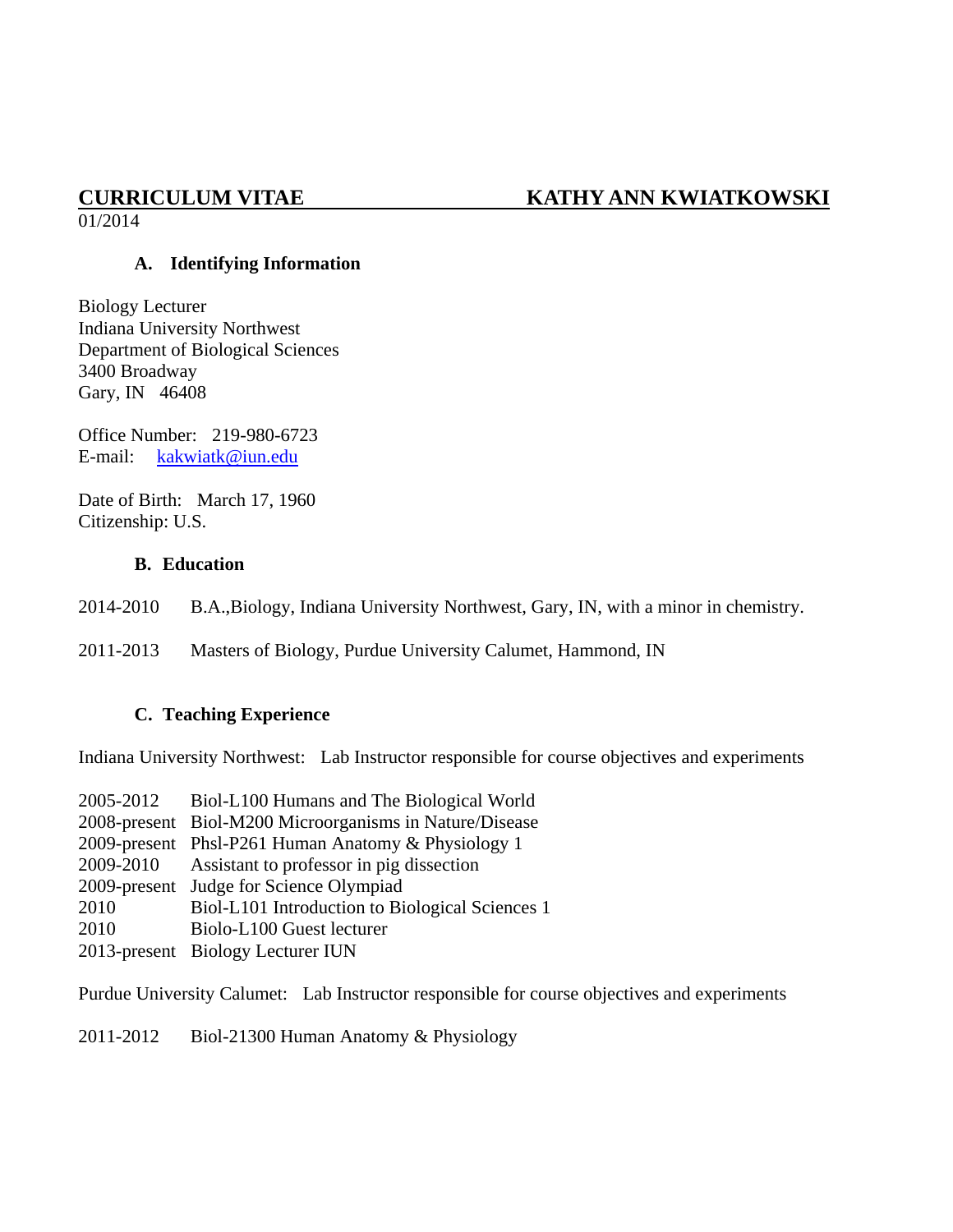# **CURRICULUM VITAE KATHY ANN KWIATKOWSKI**

01/2014

### **A. Identifying Information**

Biology Lecturer Indiana University Northwest Department of Biological Sciences 3400 Broadway Gary, IN 46408

Office Number: 219-980-6723 E-mail: [kakwiatk@iun.edu](mailto:kakwiatk@iun.edu)

Date of Birth: March 17, 1960 Citizenship: U.S.

### **B. Education**

2014-2010 B.A.,Biology, Indiana University Northwest, Gary, IN, with a minor in chemistry.

2011-2013 Masters of Biology, Purdue University Calumet, Hammond, IN

#### **C. Teaching Experience**

Indiana University Northwest: Lab Instructor responsible for course objectives and experiments

| Biol-L100 Humans and The Biological World               |
|---------------------------------------------------------|
| 2008-present Biol-M200 Microorganisms in Nature/Disease |
| 2009-present Phsl-P261 Human Anatomy & Physiology 1     |
| Assistant to professor in pig dissection                |
| 2009-present Judge for Science Olympiad                 |
| Biol-L101 Introduction to Biological Sciences 1         |
| Biolo-L100 Guest lecturer                               |
| 2013-present Biology Lecturer IUN                       |
|                                                         |

Purdue University Calumet: Lab Instructor responsible for course objectives and experiments

2011-2012 Biol-21300 Human Anatomy & Physiology